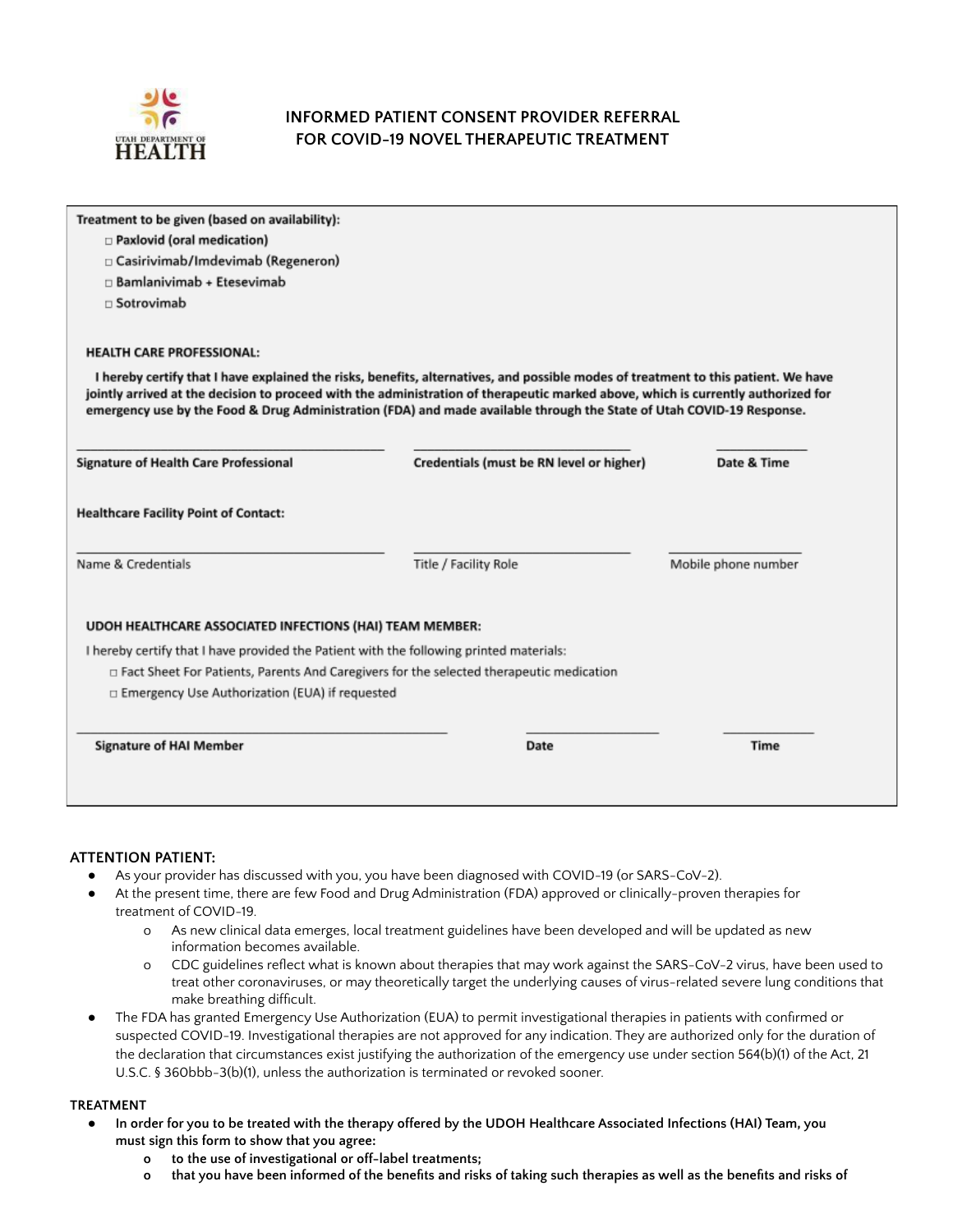

# **INFORMED PATIENT CONSENT PROVIDER REFERRAL FOR COVID-19 NOVEL THERAPEUTIC TREATMENT**

| Treatment to be given (based on availability):                                                                                                                         |                                                                                                                                                                                                                                                                                                                                                                                                  |                     |
|------------------------------------------------------------------------------------------------------------------------------------------------------------------------|--------------------------------------------------------------------------------------------------------------------------------------------------------------------------------------------------------------------------------------------------------------------------------------------------------------------------------------------------------------------------------------------------|---------------------|
| $\Box$ Paxlovid (oral medication)                                                                                                                                      |                                                                                                                                                                                                                                                                                                                                                                                                  |                     |
| □ Casirivimab/Imdevimab (Regeneron)                                                                                                                                    |                                                                                                                                                                                                                                                                                                                                                                                                  |                     |
| $\Box$ Bamlanivimab + Etesevimab                                                                                                                                       |                                                                                                                                                                                                                                                                                                                                                                                                  |                     |
| □ Sotrovimab                                                                                                                                                           |                                                                                                                                                                                                                                                                                                                                                                                                  |                     |
| <b>HEALTH CARE PROFESSIONAL:</b>                                                                                                                                       |                                                                                                                                                                                                                                                                                                                                                                                                  |                     |
|                                                                                                                                                                        | I hereby certify that I have explained the risks, benefits, alternatives, and possible modes of treatment to this patient. We have<br>jointly arrived at the decision to proceed with the administration of therapeutic marked above, which is currently authorized for<br>emergency use by the Food & Drug Administration (FDA) and made available through the State of Utah COVID-19 Response. |                     |
|                                                                                                                                                                        |                                                                                                                                                                                                                                                                                                                                                                                                  |                     |
|                                                                                                                                                                        | Credentials (must be RN level or higher)                                                                                                                                                                                                                                                                                                                                                         | Date & Time         |
|                                                                                                                                                                        |                                                                                                                                                                                                                                                                                                                                                                                                  |                     |
|                                                                                                                                                                        | Title / Facility Role                                                                                                                                                                                                                                                                                                                                                                            | Mobile phone number |
| UDOH HEALTHCARE ASSOCIATED INFECTIONS (HAI) TEAM MEMBER:                                                                                                               |                                                                                                                                                                                                                                                                                                                                                                                                  |                     |
| I hereby certify that I have provided the Patient with the following printed materials:                                                                                |                                                                                                                                                                                                                                                                                                                                                                                                  |                     |
|                                                                                                                                                                        | $\Box$ Fact Sheet For Patients, Parents And Caregivers for the selected therapeutic medication                                                                                                                                                                                                                                                                                                   |                     |
| <b>Signature of Health Care Professional</b><br><b>Healthcare Facility Point of Contact:</b><br>Name & Credentials<br>□ Emergency Use Authorization (EUA) if requested |                                                                                                                                                                                                                                                                                                                                                                                                  |                     |

## **ATTENTION PATIENT:**

- As your provider has discussed with you, you have been diagnosed with COVID-19 (or SARS-CoV-2).
- At the present time, there are few Food and Drug Administration (FDA) approved or clinically-proven therapies for treatment of COVID-19.
	- o As new clinical data emerges, local treatment guidelines have been developed and will be updated as new information becomes available.
	- o CDC guidelines reflect what is known about therapies that may work against the SARS-CoV-2 virus, have been used to treat other coronaviruses, or may theoretically target the underlying causes of virus-related severe lung conditions that make breathing difficult.
- The FDA has granted Emergency Use Authorization (EUA) to permit investigational therapies in patients with confirmed or suspected COVID-19. Investigational therapies are not approved for any indication. They are authorized only for the duration of the declaration that circumstances exist justifying the authorization of the emergency use under section 564(b)(1) of the Act, 21 U.S.C. § 360bbb-3(b)(1), unless the authorization is terminated or revoked sooner.

#### **TREATMENT**

- In order for you to be treated with the therapy offered by the UDOH Healthcare Associated Infections (HAI) Team, you **must sign this form to show that you agree:**
	- **o to the use of investigational or off-label treatments;**
	- o that you have been informed of the benefits and risks of taking such therapies as well as the benefits and risks of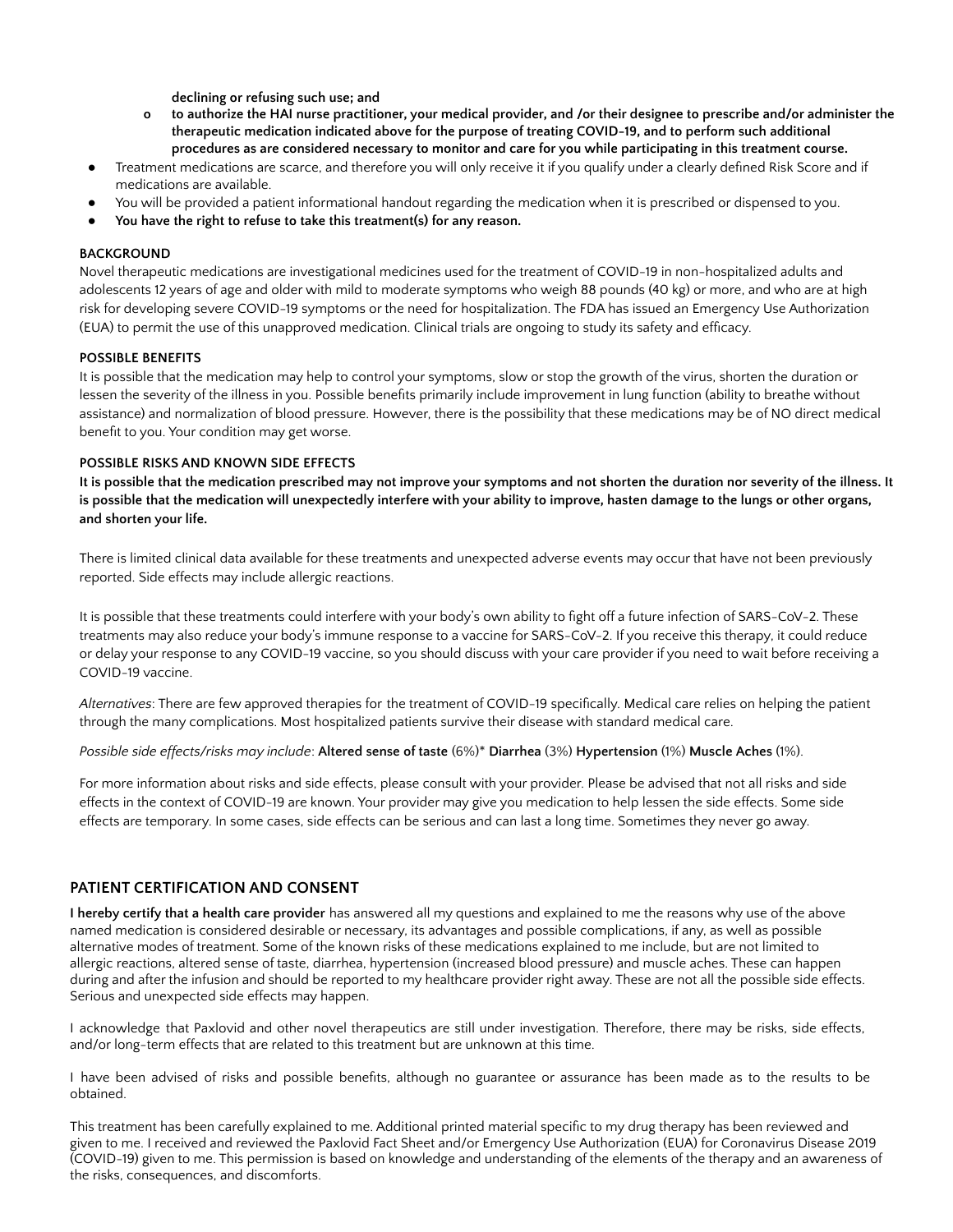**declining or refusing such use; and**

- o to authorize the HAI nurse practitioner, your medical provider, and /or their designee to prescribe and/or administer the **therapeutic medication indicated above for the purpose of treating COVID-19, and to perform such additional** procedures as are considered necessary to monitor and care for you while participating in this treatment course.
- Treatment medications are scarce, and therefore you will only receive it if you qualify under a clearly defined Risk Score and if medications are available.
- You will be provided a patient informational handout regarding the medication when it is prescribed or dispensed to you.
- **● You have the right to refuse to take this treatment(s) for any reason.**

#### **BACKGROUND**

Novel therapeutic medications are investigational medicines used for the treatment of COVID-19 in non-hospitalized adults and adolescents 12 years of age and older with mild to moderate symptoms who weigh 88 pounds (40 kg) or more, and who are at high risk for developing severe COVID-19 symptoms or the need for hospitalization. The FDA has issued an Emergency Use Authorization (EUA) to permit the use of this unapproved medication. Clinical trials are ongoing to study its safety and efficacy.

#### **POSSIBLE BENEFITS**

It is possible that the medication may help to control your symptoms, slow or stop the growth of the virus, shorten the duration or lessen the severity of the illness in you. Possible benefits primarily include improvement in lung function (ability to breathe without assistance) and normalization of blood pressure. However, there is the possibility that these medications may be of NO direct medical benefit to you. Your condition may get worse.

#### **POSSIBLE RISKS AND KNOWN SIDE EFFECTS**

It is possible that the medication prescribed may not improve your symptoms and not shorten the duration nor severity of the illness. It is possible that the medication will unexpectedly interfere with your ability to improve, hasten damage to the lungs or other organs, **and shorten your life.**

There is limited clinical data available for these treatments and unexpected adverse events may occur that have not been previously reported. Side effects may include allergic reactions.

It is possible that these treatments could interfere with your body's own ability to fight off a future infection of SARS-CoV-2. These treatments may also reduce your body's immune response to a vaccine for SARS-CoV-2. If you receive this therapy, it could reduce or delay your response to any COVID-19 vaccine, so you should discuss with your care provider if you need to wait before receiving a COVID-19 vaccine.

*Alternatives*: There are few approved therapies for the treatment of COVID-19 specifically. Medical care relies on helping the patient through the many complications. Most hospitalized patients survive their disease with standard medical care.

*Possible side effects/risks may include*: **Altered sense of taste** (6%)\* **Diarrhea** (3%) **Hypertension** (1%) **Muscle Aches** (1%).

For more information about risks and side effects, please consult with your provider. Please be advised that not all risks and side effects in the context of COVID-19 are known. Your provider may give you medication to help lessen the side effects. Some side effects are temporary. In some cases, side effects can be serious and can last a long time. Sometimes they never go away.

### **PATIENT CERTIFICATION AND CONSENT**

**I hereby certify that a health care provider** has answered all my questions and explained to me the reasons why use of the above named medication is considered desirable or necessary, its advantages and possible complications, if any, as well as possible alternative modes of treatment. Some of the known risks of these medications explained to me include, but are not limited to allergic reactions, altered sense of taste, diarrhea, hypertension (increased blood pressure) and muscle aches. These can happen during and after the infusion and should be reported to my healthcare provider right away. These are not all the possible side effects. Serious and unexpected side effects may happen.

I acknowledge that Paxlovid and other novel therapeutics are still under investigation. Therefore, there may be risks, side effects, and/or long-term effects that are related to this treatment but are unknown at this time.

I have been advised of risks and possible benefits, although no guarantee or assurance has been made as to the results to be obtained.

This treatment has been carefully explained to me. Additional printed material specific to my drug therapy has been reviewed and given to me. I received and reviewed the Paxlovid Fact Sheet and/or Emergency Use Authorization (EUA) for Coronavirus Disease 2019 (COVID-19) given to me. This permission is based on knowledge and understanding of the elements of the therapy and an awareness of the risks, consequences, and discomforts.